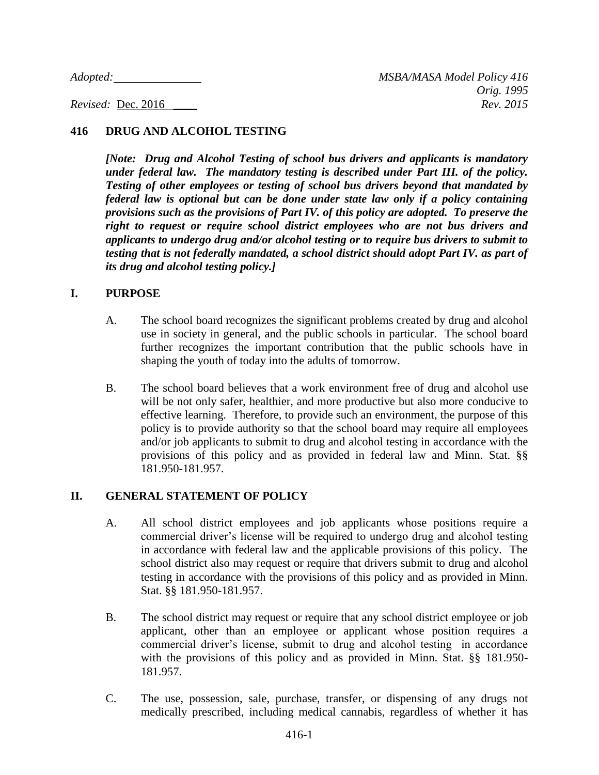#### **416 DRUG AND ALCOHOL TESTING**

*[Note: Drug and Alcohol Testing of school bus drivers and applicants is mandatory under federal law. The mandatory testing is described under Part III. of the policy. Testing of other employees or testing of school bus drivers beyond that mandated by federal law is optional but can be done under state law only if a policy containing provisions such as the provisions of Part IV. of this policy are adopted. To preserve the right to request or require school district employees who are not bus drivers and applicants to undergo drug and/or alcohol testing or to require bus drivers to submit to testing that is not federally mandated, a school district should adopt Part IV. as part of its drug and alcohol testing policy.]*

#### **I. PURPOSE**

- A. The school board recognizes the significant problems created by drug and alcohol use in society in general, and the public schools in particular. The school board further recognizes the important contribution that the public schools have in shaping the youth of today into the adults of tomorrow.
- B. The school board believes that a work environment free of drug and alcohol use will be not only safer, healthier, and more productive but also more conducive to effective learning. Therefore, to provide such an environment, the purpose of this policy is to provide authority so that the school board may require all employees and/or job applicants to submit to drug and alcohol testing in accordance with the provisions of this policy and as provided in federal law and Minn. Stat. §§ 181.950-181.957.

## **II. GENERAL STATEMENT OF POLICY**

- A. All school district employees and job applicants whose positions require a commercial driver's license will be required to undergo drug and alcohol testing in accordance with federal law and the applicable provisions of this policy. The school district also may request or require that drivers submit to drug and alcohol testing in accordance with the provisions of this policy and as provided in Minn. Stat. §§ 181.950-181.957.
- B. The school district may request or require that any school district employee or job applicant, other than an employee or applicant whose position requires a commercial driver's license, submit to drug and alcohol testing in accordance with the provisions of this policy and as provided in Minn. Stat. §§ 181.950- 181.957.
- C. The use, possession, sale, purchase, transfer, or dispensing of any drugs not medically prescribed, including medical cannabis, regardless of whether it has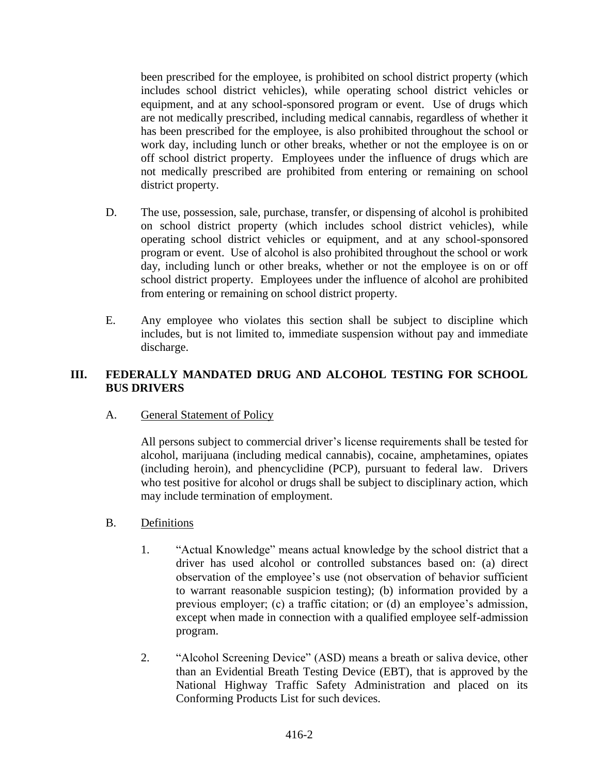been prescribed for the employee, is prohibited on school district property (which includes school district vehicles), while operating school district vehicles or equipment, and at any school-sponsored program or event. Use of drugs which are not medically prescribed, including medical cannabis, regardless of whether it has been prescribed for the employee, is also prohibited throughout the school or work day, including lunch or other breaks, whether or not the employee is on or off school district property. Employees under the influence of drugs which are not medically prescribed are prohibited from entering or remaining on school district property.

- D. The use, possession, sale, purchase, transfer, or dispensing of alcohol is prohibited on school district property (which includes school district vehicles), while operating school district vehicles or equipment, and at any school-sponsored program or event. Use of alcohol is also prohibited throughout the school or work day, including lunch or other breaks, whether or not the employee is on or off school district property. Employees under the influence of alcohol are prohibited from entering or remaining on school district property.
- E. Any employee who violates this section shall be subject to discipline which includes, but is not limited to, immediate suspension without pay and immediate discharge.

## **III. FEDERALLY MANDATED DRUG AND ALCOHOL TESTING FOR SCHOOL BUS DRIVERS**

## A. General Statement of Policy

All persons subject to commercial driver's license requirements shall be tested for alcohol, marijuana (including medical cannabis), cocaine, amphetamines, opiates (including heroin), and phencyclidine (PCP), pursuant to federal law. Drivers who test positive for alcohol or drugs shall be subject to disciplinary action, which may include termination of employment.

## B. Definitions

- 1. "Actual Knowledge" means actual knowledge by the school district that a driver has used alcohol or controlled substances based on: (a) direct observation of the employee's use (not observation of behavior sufficient to warrant reasonable suspicion testing); (b) information provided by a previous employer; (c) a traffic citation; or (d) an employee's admission, except when made in connection with a qualified employee self-admission program.
- 2. "Alcohol Screening Device" (ASD) means a breath or saliva device, other than an Evidential Breath Testing Device (EBT), that is approved by the National Highway Traffic Safety Administration and placed on its Conforming Products List for such devices.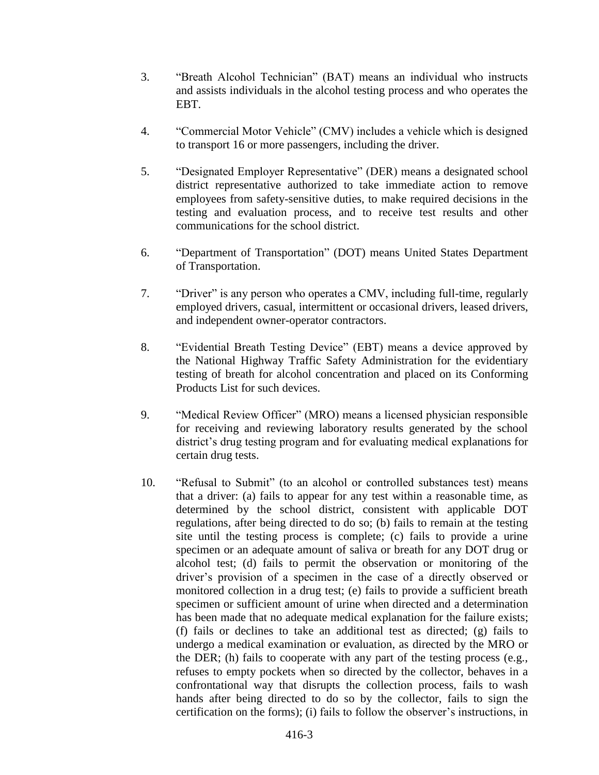- 3. "Breath Alcohol Technician" (BAT) means an individual who instructs and assists individuals in the alcohol testing process and who operates the EBT.
- 4. "Commercial Motor Vehicle" (CMV) includes a vehicle which is designed to transport 16 or more passengers, including the driver.
- 5. "Designated Employer Representative" (DER) means a designated school district representative authorized to take immediate action to remove employees from safety-sensitive duties, to make required decisions in the testing and evaluation process, and to receive test results and other communications for the school district.
- 6. "Department of Transportation" (DOT) means United States Department of Transportation.
- 7. "Driver" is any person who operates a CMV, including full-time, regularly employed drivers, casual, intermittent or occasional drivers, leased drivers, and independent owner-operator contractors.
- 8. "Evidential Breath Testing Device" (EBT) means a device approved by the National Highway Traffic Safety Administration for the evidentiary testing of breath for alcohol concentration and placed on its Conforming Products List for such devices.
- 9. "Medical Review Officer" (MRO) means a licensed physician responsible for receiving and reviewing laboratory results generated by the school district's drug testing program and for evaluating medical explanations for certain drug tests.
- 10. "Refusal to Submit" (to an alcohol or controlled substances test) means that a driver: (a) fails to appear for any test within a reasonable time, as determined by the school district, consistent with applicable DOT regulations, after being directed to do so; (b) fails to remain at the testing site until the testing process is complete; (c) fails to provide a urine specimen or an adequate amount of saliva or breath for any DOT drug or alcohol test; (d) fails to permit the observation or monitoring of the driver's provision of a specimen in the case of a directly observed or monitored collection in a drug test; (e) fails to provide a sufficient breath specimen or sufficient amount of urine when directed and a determination has been made that no adequate medical explanation for the failure exists; (f) fails or declines to take an additional test as directed; (g) fails to undergo a medical examination or evaluation, as directed by the MRO or the DER; (h) fails to cooperate with any part of the testing process (e.g., refuses to empty pockets when so directed by the collector, behaves in a confrontational way that disrupts the collection process, fails to wash hands after being directed to do so by the collector, fails to sign the certification on the forms); (i) fails to follow the observer's instructions, in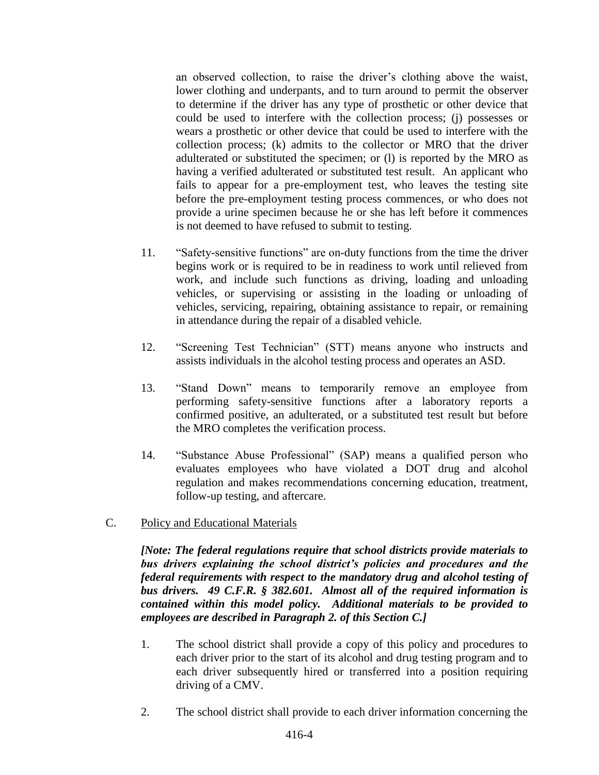an observed collection, to raise the driver's clothing above the waist, lower clothing and underpants, and to turn around to permit the observer to determine if the driver has any type of prosthetic or other device that could be used to interfere with the collection process; (j) possesses or wears a prosthetic or other device that could be used to interfere with the collection process; (k) admits to the collector or MRO that the driver adulterated or substituted the specimen; or (l) is reported by the MRO as having a verified adulterated or substituted test result. An applicant who fails to appear for a pre-employment test, who leaves the testing site before the pre-employment testing process commences, or who does not provide a urine specimen because he or she has left before it commences is not deemed to have refused to submit to testing.

- 11. "Safety-sensitive functions" are on-duty functions from the time the driver begins work or is required to be in readiness to work until relieved from work, and include such functions as driving, loading and unloading vehicles, or supervising or assisting in the loading or unloading of vehicles, servicing, repairing, obtaining assistance to repair, or remaining in attendance during the repair of a disabled vehicle.
- 12. "Screening Test Technician" (STT) means anyone who instructs and assists individuals in the alcohol testing process and operates an ASD.
- 13. "Stand Down" means to temporarily remove an employee from performing safety-sensitive functions after a laboratory reports a confirmed positive, an adulterated, or a substituted test result but before the MRO completes the verification process.
- 14. "Substance Abuse Professional" (SAP) means a qualified person who evaluates employees who have violated a DOT drug and alcohol regulation and makes recommendations concerning education, treatment, follow-up testing, and aftercare.
- C. Policy and Educational Materials

*[Note: The federal regulations require that school districts provide materials to bus drivers explaining the school district's policies and procedures and the federal requirements with respect to the mandatory drug and alcohol testing of bus drivers. 49 C.F.R. § 382.601. Almost all of the required information is contained within this model policy. Additional materials to be provided to employees are described in Paragraph 2. of this Section C.]*

- 1. The school district shall provide a copy of this policy and procedures to each driver prior to the start of its alcohol and drug testing program and to each driver subsequently hired or transferred into a position requiring driving of a CMV.
- 2. The school district shall provide to each driver information concerning the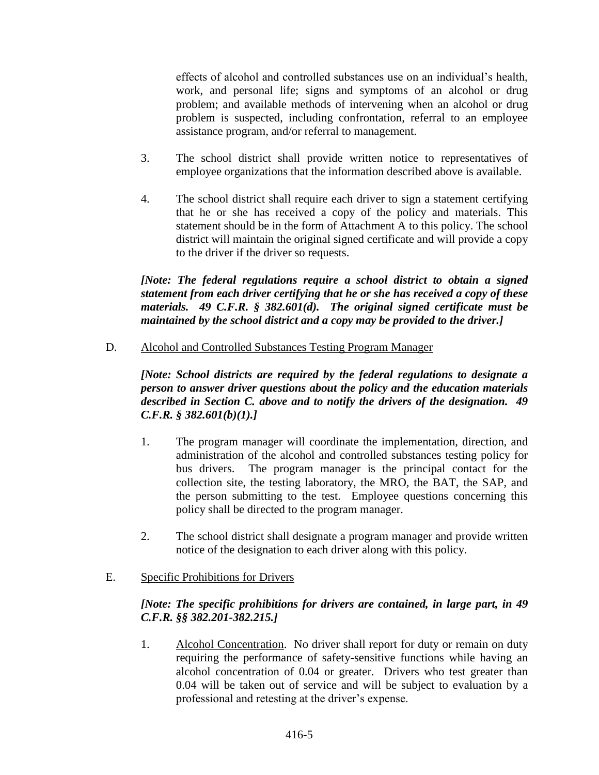effects of alcohol and controlled substances use on an individual's health, work, and personal life; signs and symptoms of an alcohol or drug problem; and available methods of intervening when an alcohol or drug problem is suspected, including confrontation, referral to an employee assistance program, and/or referral to management.

- 3. The school district shall provide written notice to representatives of employee organizations that the information described above is available.
- 4. The school district shall require each driver to sign a statement certifying that he or she has received a copy of the policy and materials. This statement should be in the form of Attachment A to this policy. The school district will maintain the original signed certificate and will provide a copy to the driver if the driver so requests.

*[Note: The federal regulations require a school district to obtain a signed statement from each driver certifying that he or she has received a copy of these materials. 49 C.F.R. § 382.601(d). The original signed certificate must be maintained by the school district and a copy may be provided to the driver.]*

D. Alcohol and Controlled Substances Testing Program Manager

*[Note: School districts are required by the federal regulations to designate a person to answer driver questions about the policy and the education materials described in Section C. above and to notify the drivers of the designation. 49 C.F.R. § 382.601(b)(1).]*

- 1. The program manager will coordinate the implementation, direction, and administration of the alcohol and controlled substances testing policy for bus drivers. The program manager is the principal contact for the collection site, the testing laboratory, the MRO, the BAT, the SAP, and the person submitting to the test. Employee questions concerning this policy shall be directed to the program manager.
- 2. The school district shall designate a program manager and provide written notice of the designation to each driver along with this policy.
- E. Specific Prohibitions for Drivers

# *[Note: The specific prohibitions for drivers are contained, in large part, in 49 C.F.R. §§ 382.201-382.215.]*

1. Alcohol Concentration. No driver shall report for duty or remain on duty requiring the performance of safety-sensitive functions while having an alcohol concentration of 0.04 or greater. Drivers who test greater than 0.04 will be taken out of service and will be subject to evaluation by a professional and retesting at the driver's expense.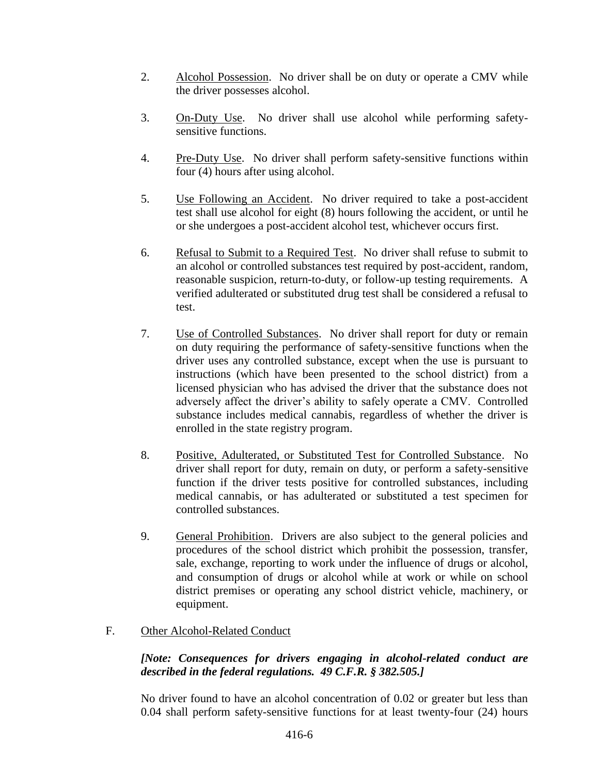- 2. Alcohol Possession. No driver shall be on duty or operate a CMV while the driver possesses alcohol.
- 3. On-Duty Use. No driver shall use alcohol while performing safetysensitive functions.
- 4. Pre-Duty Use. No driver shall perform safety-sensitive functions within four (4) hours after using alcohol.
- 5. Use Following an Accident. No driver required to take a post-accident test shall use alcohol for eight (8) hours following the accident, or until he or she undergoes a post-accident alcohol test, whichever occurs first.
- 6. Refusal to Submit to a Required Test. No driver shall refuse to submit to an alcohol or controlled substances test required by post-accident, random, reasonable suspicion, return-to-duty, or follow-up testing requirements. A verified adulterated or substituted drug test shall be considered a refusal to test.
- 7. Use of Controlled Substances. No driver shall report for duty or remain on duty requiring the performance of safety-sensitive functions when the driver uses any controlled substance, except when the use is pursuant to instructions (which have been presented to the school district) from a licensed physician who has advised the driver that the substance does not adversely affect the driver's ability to safely operate a CMV. Controlled substance includes medical cannabis, regardless of whether the driver is enrolled in the state registry program.
- 8. Positive, Adulterated, or Substituted Test for Controlled Substance. No driver shall report for duty, remain on duty, or perform a safety-sensitive function if the driver tests positive for controlled substances, including medical cannabis, or has adulterated or substituted a test specimen for controlled substances.
- 9. General Prohibition. Drivers are also subject to the general policies and procedures of the school district which prohibit the possession, transfer, sale, exchange, reporting to work under the influence of drugs or alcohol, and consumption of drugs or alcohol while at work or while on school district premises or operating any school district vehicle, machinery, or equipment.
- F. Other Alcohol-Related Conduct

# *[Note: Consequences for drivers engaging in alcohol-related conduct are described in the federal regulations. 49 C.F.R. § 382.505.]*

No driver found to have an alcohol concentration of 0.02 or greater but less than 0.04 shall perform safety-sensitive functions for at least twenty-four (24) hours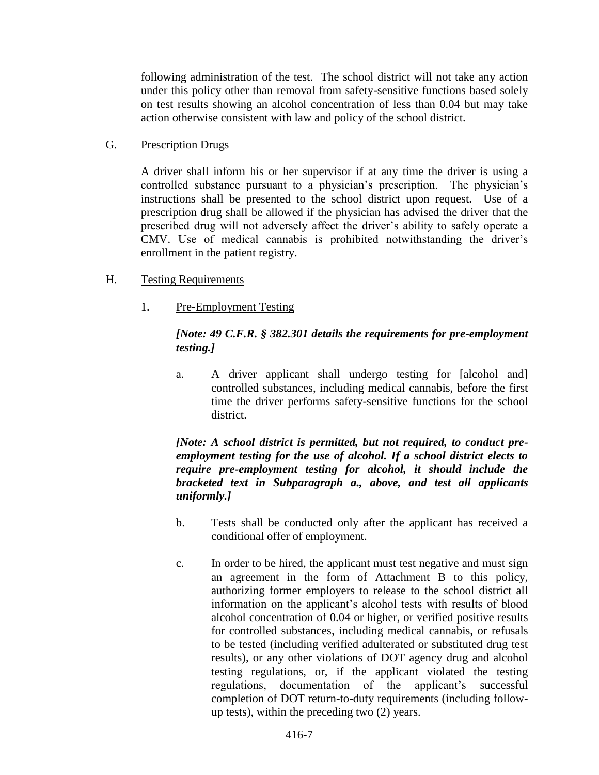following administration of the test. The school district will not take any action under this policy other than removal from safety-sensitive functions based solely on test results showing an alcohol concentration of less than 0.04 but may take action otherwise consistent with law and policy of the school district.

## G. Prescription Drugs

A driver shall inform his or her supervisor if at any time the driver is using a controlled substance pursuant to a physician's prescription. The physician's instructions shall be presented to the school district upon request. Use of a prescription drug shall be allowed if the physician has advised the driver that the prescribed drug will not adversely affect the driver's ability to safely operate a CMV. Use of medical cannabis is prohibited notwithstanding the driver's enrollment in the patient registry.

- H. Testing Requirements
	- 1. Pre-Employment Testing

# *[Note: 49 C.F.R. § 382.301 details the requirements for pre-employment testing.]*

a. A driver applicant shall undergo testing for [alcohol and] controlled substances, including medical cannabis, before the first time the driver performs safety-sensitive functions for the school district.

#### *[Note: A school district is permitted, but not required, to conduct preemployment testing for the use of alcohol. If a school district elects to require pre-employment testing for alcohol, it should include the bracketed text in Subparagraph a., above, and test all applicants uniformly.]*

- b. Tests shall be conducted only after the applicant has received a conditional offer of employment.
- c. In order to be hired, the applicant must test negative and must sign an agreement in the form of Attachment B to this policy, authorizing former employers to release to the school district all information on the applicant's alcohol tests with results of blood alcohol concentration of 0.04 or higher, or verified positive results for controlled substances, including medical cannabis, or refusals to be tested (including verified adulterated or substituted drug test results), or any other violations of DOT agency drug and alcohol testing regulations, or, if the applicant violated the testing regulations, documentation of the applicant's successful completion of DOT return-to-duty requirements (including followup tests), within the preceding two (2) years.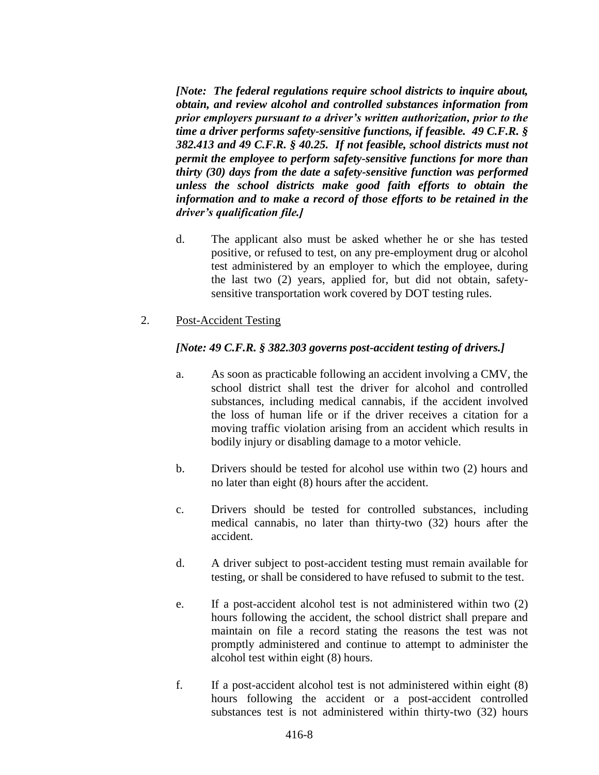*[Note: The federal regulations require school districts to inquire about, obtain, and review alcohol and controlled substances information from prior employers pursuant to a driver's written authorization, prior to the time a driver performs safety-sensitive functions, if feasible. 49 C.F.R. § 382.413 and 49 C.F.R. § 40.25. If not feasible, school districts must not permit the employee to perform safety-sensitive functions for more than thirty (30) days from the date a safety-sensitive function was performed unless the school districts make good faith efforts to obtain the information and to make a record of those efforts to be retained in the driver's qualification file.]*

- d. The applicant also must be asked whether he or she has tested positive, or refused to test, on any pre-employment drug or alcohol test administered by an employer to which the employee, during the last two (2) years, applied for, but did not obtain, safetysensitive transportation work covered by DOT testing rules.
- 2. Post-Accident Testing

#### *[Note: 49 C.F.R. § 382.303 governs post-accident testing of drivers.]*

- a. As soon as practicable following an accident involving a CMV, the school district shall test the driver for alcohol and controlled substances, including medical cannabis, if the accident involved the loss of human life or if the driver receives a citation for a moving traffic violation arising from an accident which results in bodily injury or disabling damage to a motor vehicle.
- b. Drivers should be tested for alcohol use within two (2) hours and no later than eight (8) hours after the accident.
- c. Drivers should be tested for controlled substances, including medical cannabis, no later than thirty-two (32) hours after the accident.
- d. A driver subject to post-accident testing must remain available for testing, or shall be considered to have refused to submit to the test.
- e. If a post-accident alcohol test is not administered within two (2) hours following the accident, the school district shall prepare and maintain on file a record stating the reasons the test was not promptly administered and continue to attempt to administer the alcohol test within eight (8) hours.
- f. If a post-accident alcohol test is not administered within eight (8) hours following the accident or a post-accident controlled substances test is not administered within thirty-two (32) hours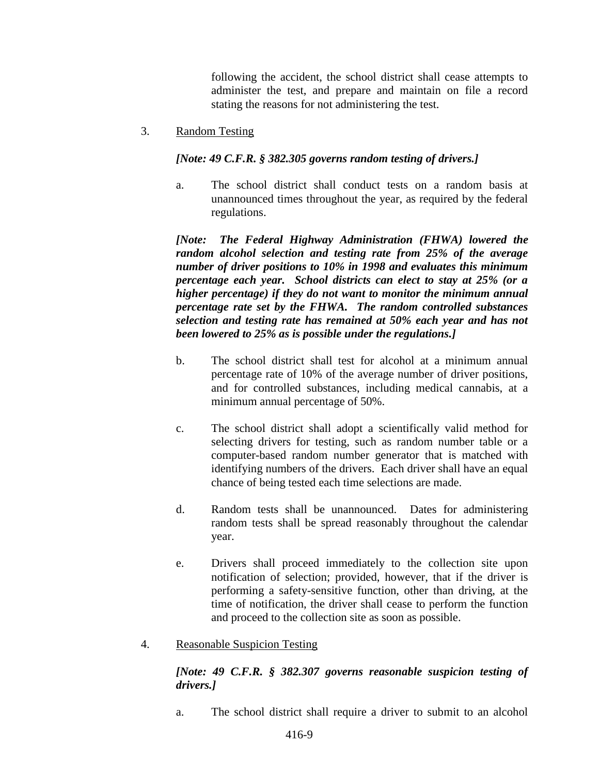following the accident, the school district shall cease attempts to administer the test, and prepare and maintain on file a record stating the reasons for not administering the test.

3. Random Testing

#### *[Note: 49 C.F.R. § 382.305 governs random testing of drivers.]*

a. The school district shall conduct tests on a random basis at unannounced times throughout the year, as required by the federal regulations.

*[Note: The Federal Highway Administration (FHWA) lowered the random alcohol selection and testing rate from 25% of the average number of driver positions to 10% in 1998 and evaluates this minimum percentage each year. School districts can elect to stay at 25% (or a higher percentage) if they do not want to monitor the minimum annual percentage rate set by the FHWA. The random controlled substances selection and testing rate has remained at 50% each year and has not been lowered to 25% as is possible under the regulations.]*

- b. The school district shall test for alcohol at a minimum annual percentage rate of 10% of the average number of driver positions, and for controlled substances, including medical cannabis, at a minimum annual percentage of 50%.
- c. The school district shall adopt a scientifically valid method for selecting drivers for testing, such as random number table or a computer-based random number generator that is matched with identifying numbers of the drivers. Each driver shall have an equal chance of being tested each time selections are made.
- d. Random tests shall be unannounced. Dates for administering random tests shall be spread reasonably throughout the calendar year.
- e. Drivers shall proceed immediately to the collection site upon notification of selection; provided, however, that if the driver is performing a safety-sensitive function, other than driving, at the time of notification, the driver shall cease to perform the function and proceed to the collection site as soon as possible.
- 4. Reasonable Suspicion Testing

## *[Note: 49 C.F.R. § 382.307 governs reasonable suspicion testing of drivers.]*

a. The school district shall require a driver to submit to an alcohol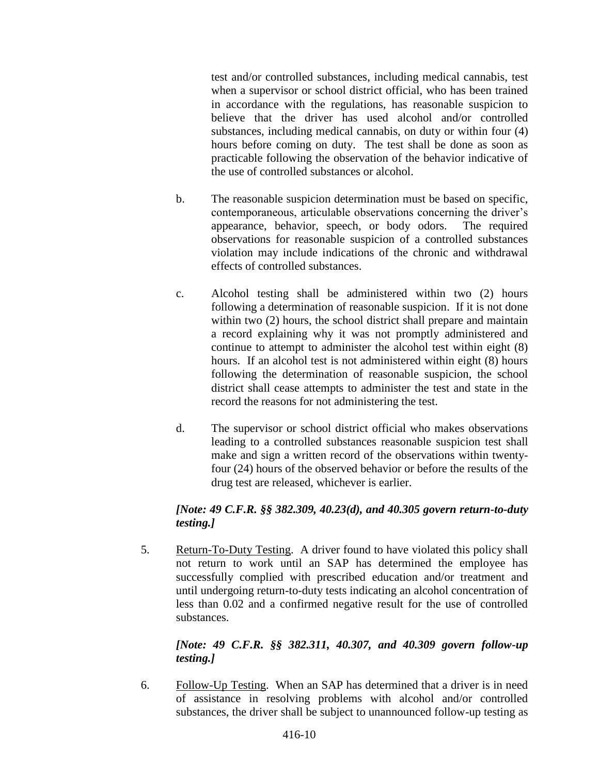test and/or controlled substances, including medical cannabis, test when a supervisor or school district official, who has been trained in accordance with the regulations, has reasonable suspicion to believe that the driver has used alcohol and/or controlled substances, including medical cannabis, on duty or within four (4) hours before coming on duty. The test shall be done as soon as practicable following the observation of the behavior indicative of the use of controlled substances or alcohol.

- b. The reasonable suspicion determination must be based on specific, contemporaneous, articulable observations concerning the driver's appearance, behavior, speech, or body odors. The required observations for reasonable suspicion of a controlled substances violation may include indications of the chronic and withdrawal effects of controlled substances.
- c. Alcohol testing shall be administered within two (2) hours following a determination of reasonable suspicion. If it is not done within two (2) hours, the school district shall prepare and maintain a record explaining why it was not promptly administered and continue to attempt to administer the alcohol test within eight (8) hours. If an alcohol test is not administered within eight (8) hours following the determination of reasonable suspicion, the school district shall cease attempts to administer the test and state in the record the reasons for not administering the test.
- d. The supervisor or school district official who makes observations leading to a controlled substances reasonable suspicion test shall make and sign a written record of the observations within twentyfour (24) hours of the observed behavior or before the results of the drug test are released, whichever is earlier.

## *[Note: 49 C.F.R. §§ 382.309, 40.23(d), and 40.305 govern return-to-duty testing.]*

5. Return-To-Duty Testing. A driver found to have violated this policy shall not return to work until an SAP has determined the employee has successfully complied with prescribed education and/or treatment and until undergoing return-to-duty tests indicating an alcohol concentration of less than 0.02 and a confirmed negative result for the use of controlled substances.

## *[Note: 49 C.F.R. §§ 382.311, 40.307, and 40.309 govern follow-up testing.]*

6. Follow-Up Testing. When an SAP has determined that a driver is in need of assistance in resolving problems with alcohol and/or controlled substances, the driver shall be subject to unannounced follow-up testing as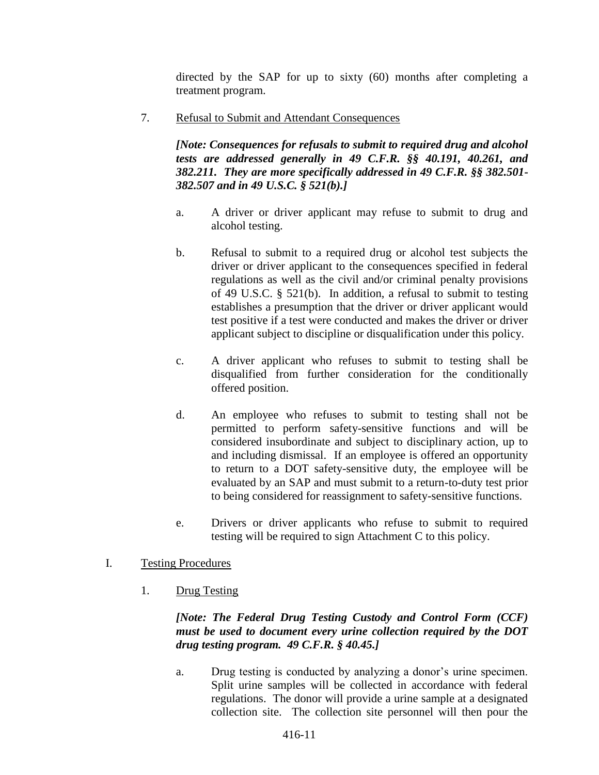directed by the SAP for up to sixty (60) months after completing a treatment program.

7. Refusal to Submit and Attendant Consequences

*[Note: Consequences for refusals to submit to required drug and alcohol tests are addressed generally in 49 C.F.R. §§ 40.191, 40.261, and 382.211. They are more specifically addressed in 49 C.F.R. §§ 382.501- 382.507 and in 49 U.S.C. § 521(b).]*

- a. A driver or driver applicant may refuse to submit to drug and alcohol testing.
- b. Refusal to submit to a required drug or alcohol test subjects the driver or driver applicant to the consequences specified in federal regulations as well as the civil and/or criminal penalty provisions of 49 U.S.C. § 521(b). In addition, a refusal to submit to testing establishes a presumption that the driver or driver applicant would test positive if a test were conducted and makes the driver or driver applicant subject to discipline or disqualification under this policy.
- c. A driver applicant who refuses to submit to testing shall be disqualified from further consideration for the conditionally offered position.
- d. An employee who refuses to submit to testing shall not be permitted to perform safety-sensitive functions and will be considered insubordinate and subject to disciplinary action, up to and including dismissal. If an employee is offered an opportunity to return to a DOT safety-sensitive duty, the employee will be evaluated by an SAP and must submit to a return-to-duty test prior to being considered for reassignment to safety-sensitive functions.
- e. Drivers or driver applicants who refuse to submit to required testing will be required to sign Attachment C to this policy.

#### I. Testing Procedures

1. Drug Testing

## *[Note: The Federal Drug Testing Custody and Control Form (CCF) must be used to document every urine collection required by the DOT drug testing program. 49 C.F.R. § 40.45.]*

a. Drug testing is conducted by analyzing a donor's urine specimen. Split urine samples will be collected in accordance with federal regulations. The donor will provide a urine sample at a designated collection site. The collection site personnel will then pour the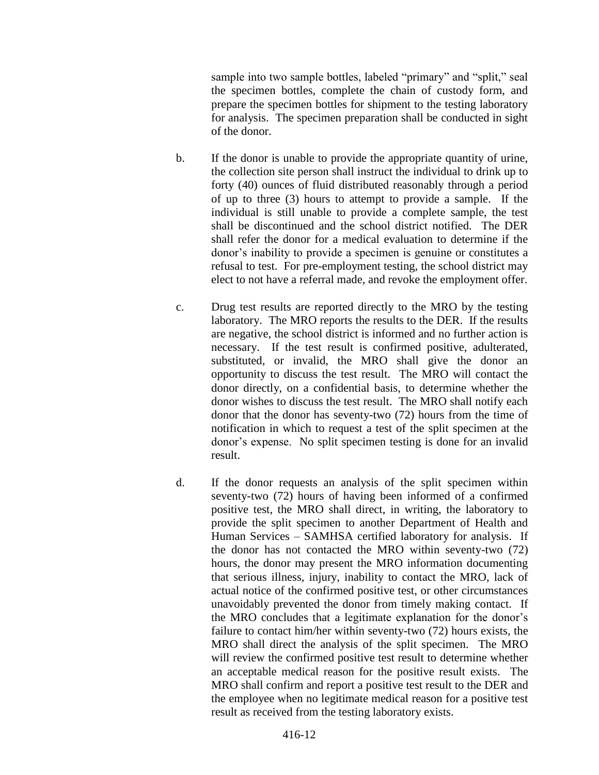sample into two sample bottles, labeled "primary" and "split," seal the specimen bottles, complete the chain of custody form, and prepare the specimen bottles for shipment to the testing laboratory for analysis. The specimen preparation shall be conducted in sight of the donor.

- b. If the donor is unable to provide the appropriate quantity of urine, the collection site person shall instruct the individual to drink up to forty (40) ounces of fluid distributed reasonably through a period of up to three (3) hours to attempt to provide a sample. If the individual is still unable to provide a complete sample, the test shall be discontinued and the school district notified. The DER shall refer the donor for a medical evaluation to determine if the donor's inability to provide a specimen is genuine or constitutes a refusal to test. For pre-employment testing, the school district may elect to not have a referral made, and revoke the employment offer.
- c. Drug test results are reported directly to the MRO by the testing laboratory. The MRO reports the results to the DER. If the results are negative, the school district is informed and no further action is necessary. If the test result is confirmed positive, adulterated, substituted, or invalid, the MRO shall give the donor an opportunity to discuss the test result. The MRO will contact the donor directly, on a confidential basis, to determine whether the donor wishes to discuss the test result. The MRO shall notify each donor that the donor has seventy-two (72) hours from the time of notification in which to request a test of the split specimen at the donor's expense. No split specimen testing is done for an invalid result.
- d. If the donor requests an analysis of the split specimen within seventy-two (72) hours of having been informed of a confirmed positive test, the MRO shall direct, in writing, the laboratory to provide the split specimen to another Department of Health and Human Services – SAMHSA certified laboratory for analysis. If the donor has not contacted the MRO within seventy-two (72) hours, the donor may present the MRO information documenting that serious illness, injury, inability to contact the MRO, lack of actual notice of the confirmed positive test, or other circumstances unavoidably prevented the donor from timely making contact. If the MRO concludes that a legitimate explanation for the donor's failure to contact him/her within seventy-two (72) hours exists, the MRO shall direct the analysis of the split specimen. The MRO will review the confirmed positive test result to determine whether an acceptable medical reason for the positive result exists. The MRO shall confirm and report a positive test result to the DER and the employee when no legitimate medical reason for a positive test result as received from the testing laboratory exists.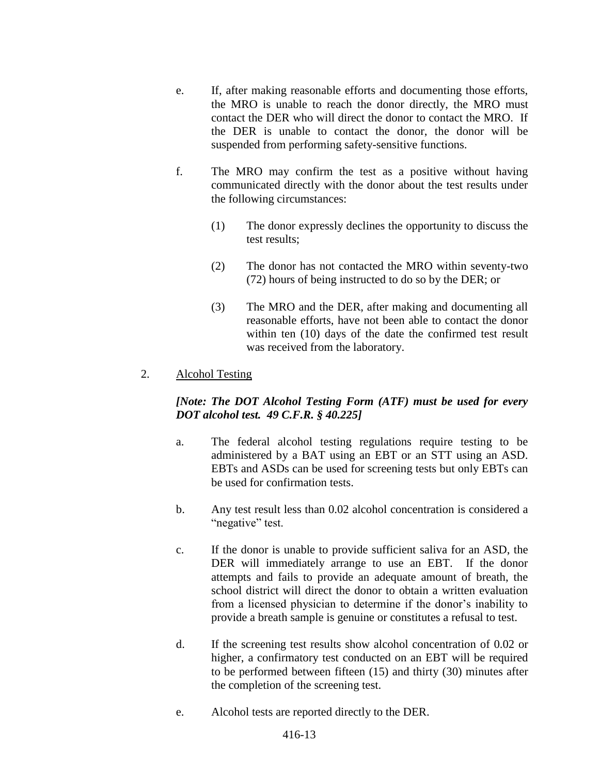- e. If, after making reasonable efforts and documenting those efforts, the MRO is unable to reach the donor directly, the MRO must contact the DER who will direct the donor to contact the MRO. If the DER is unable to contact the donor, the donor will be suspended from performing safety-sensitive functions.
- f. The MRO may confirm the test as a positive without having communicated directly with the donor about the test results under the following circumstances:
	- (1) The donor expressly declines the opportunity to discuss the test results;
	- (2) The donor has not contacted the MRO within seventy-two (72) hours of being instructed to do so by the DER; or
	- (3) The MRO and the DER, after making and documenting all reasonable efforts, have not been able to contact the donor within ten (10) days of the date the confirmed test result was received from the laboratory.

#### 2. Alcohol Testing

## *[Note: The DOT Alcohol Testing Form (ATF) must be used for every DOT alcohol test. 49 C.F.R. § 40.225]*

- a. The federal alcohol testing regulations require testing to be administered by a BAT using an EBT or an STT using an ASD. EBTs and ASDs can be used for screening tests but only EBTs can be used for confirmation tests.
- b. Any test result less than 0.02 alcohol concentration is considered a "negative" test.
- c. If the donor is unable to provide sufficient saliva for an ASD, the DER will immediately arrange to use an EBT. If the donor attempts and fails to provide an adequate amount of breath, the school district will direct the donor to obtain a written evaluation from a licensed physician to determine if the donor's inability to provide a breath sample is genuine or constitutes a refusal to test.
- d. If the screening test results show alcohol concentration of 0.02 or higher, a confirmatory test conducted on an EBT will be required to be performed between fifteen (15) and thirty (30) minutes after the completion of the screening test.
- e. Alcohol tests are reported directly to the DER.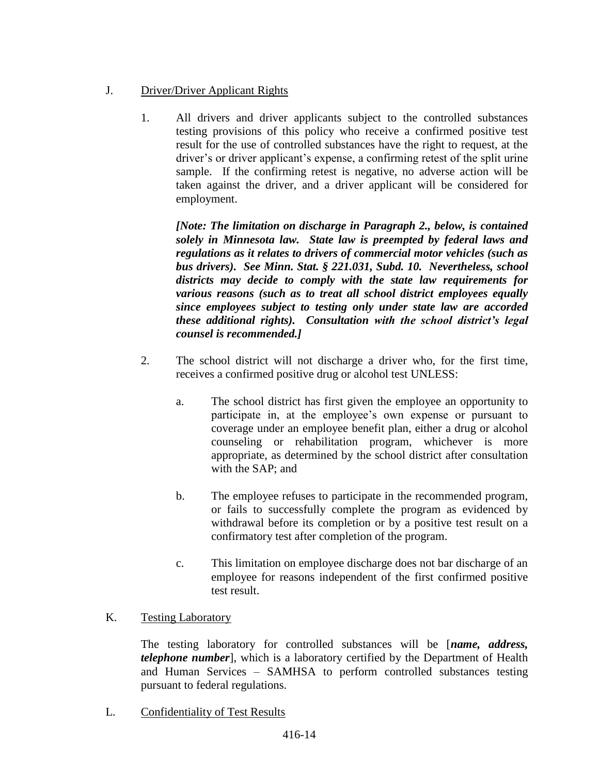- J. Driver/Driver Applicant Rights
	- 1. All drivers and driver applicants subject to the controlled substances testing provisions of this policy who receive a confirmed positive test result for the use of controlled substances have the right to request, at the driver's or driver applicant's expense, a confirming retest of the split urine sample. If the confirming retest is negative, no adverse action will be taken against the driver, and a driver applicant will be considered for employment.

*[Note: The limitation on discharge in Paragraph 2., below, is contained solely in Minnesota law. State law is preempted by federal laws and regulations as it relates to drivers of commercial motor vehicles (such as bus drivers). See Minn. Stat. § 221.031, Subd. 10. Nevertheless, school districts may decide to comply with the state law requirements for various reasons (such as to treat all school district employees equally since employees subject to testing only under state law are accorded these additional rights). Consultation with the school district's legal counsel is recommended.]*

- 2. The school district will not discharge a driver who, for the first time, receives a confirmed positive drug or alcohol test UNLESS:
	- a. The school district has first given the employee an opportunity to participate in, at the employee's own expense or pursuant to coverage under an employee benefit plan, either a drug or alcohol counseling or rehabilitation program, whichever is more appropriate, as determined by the school district after consultation with the SAP; and
	- b. The employee refuses to participate in the recommended program, or fails to successfully complete the program as evidenced by withdrawal before its completion or by a positive test result on a confirmatory test after completion of the program.
	- c. This limitation on employee discharge does not bar discharge of an employee for reasons independent of the first confirmed positive test result.
- K. Testing Laboratory

The testing laboratory for controlled substances will be [*name, address, telephone number*], which is a laboratory certified by the Department of Health and Human Services – SAMHSA to perform controlled substances testing pursuant to federal regulations.

L. Confidentiality of Test Results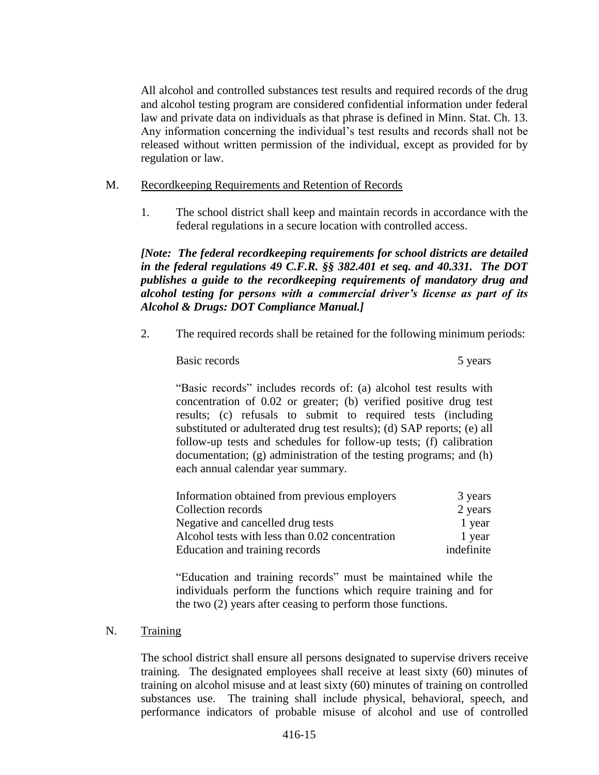All alcohol and controlled substances test results and required records of the drug and alcohol testing program are considered confidential information under federal law and private data on individuals as that phrase is defined in Minn. Stat. Ch. 13. Any information concerning the individual's test results and records shall not be released without written permission of the individual, except as provided for by regulation or law.

#### M. Recordkeeping Requirements and Retention of Records

1. The school district shall keep and maintain records in accordance with the federal regulations in a secure location with controlled access.

*[Note: The federal recordkeeping requirements for school districts are detailed in the federal regulations 49 C.F.R. §§ 382.401 et seq. and 40.331. The DOT publishes a guide to the recordkeeping requirements of mandatory drug and alcohol testing for persons with a commercial driver's license as part of its Alcohol & Drugs: DOT Compliance Manual.]*

2. The required records shall be retained for the following minimum periods:

Basic records 5 years 5 years 5 years 5 years 5 years 5 years 5 years 5 years 5 years 5 years 5 years 5 years 5 years 5 years 5 years 5 years 5 years 5 years 5 years 5 years 5 years 5 years 5 years 5 years 6 years 5 years

"Basic records" includes records of: (a) alcohol test results with concentration of 0.02 or greater; (b) verified positive drug test results; (c) refusals to submit to required tests (including substituted or adulterated drug test results); (d) SAP reports; (e) all follow-up tests and schedules for follow-up tests; (f) calibration documentation; (g) administration of the testing programs; and (h) each annual calendar year summary.

| Information obtained from previous employers    | 3 years    |
|-------------------------------------------------|------------|
| Collection records                              | 2 years    |
| Negative and cancelled drug tests               | 1 year     |
| Alcohol tests with less than 0.02 concentration | 1 year     |
| Education and training records                  | indefinite |

"Education and training records" must be maintained while the individuals perform the functions which require training and for the two (2) years after ceasing to perform those functions.

#### N. Training

The school district shall ensure all persons designated to supervise drivers receive training. The designated employees shall receive at least sixty (60) minutes of training on alcohol misuse and at least sixty (60) minutes of training on controlled substances use. The training shall include physical, behavioral, speech, and performance indicators of probable misuse of alcohol and use of controlled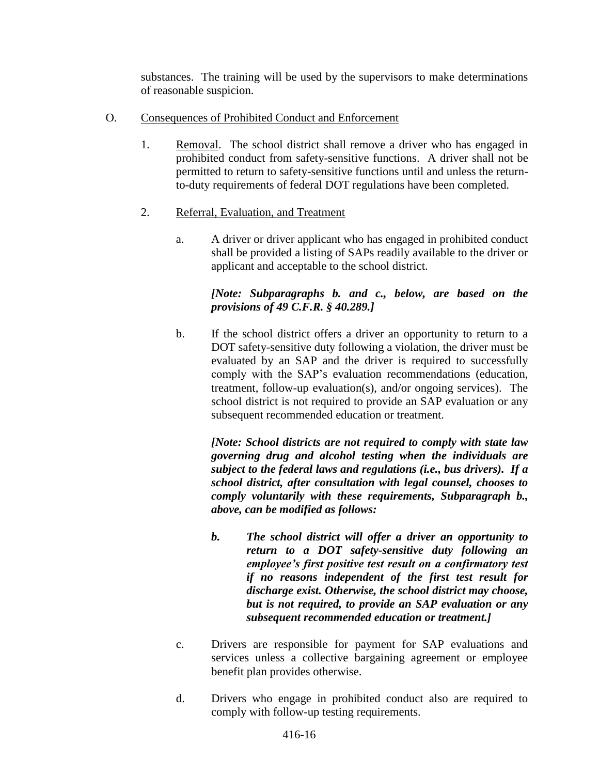substances. The training will be used by the supervisors to make determinations of reasonable suspicion.

- O. Consequences of Prohibited Conduct and Enforcement
	- 1. Removal. The school district shall remove a driver who has engaged in prohibited conduct from safety-sensitive functions. A driver shall not be permitted to return to safety-sensitive functions until and unless the returnto-duty requirements of federal DOT regulations have been completed.
	- 2. Referral, Evaluation, and Treatment
		- a. A driver or driver applicant who has engaged in prohibited conduct shall be provided a listing of SAPs readily available to the driver or applicant and acceptable to the school district.

## *[Note: Subparagraphs b. and c., below, are based on the provisions of 49 C.F.R. § 40.289.]*

b. If the school district offers a driver an opportunity to return to a DOT safety-sensitive duty following a violation, the driver must be evaluated by an SAP and the driver is required to successfully comply with the SAP's evaluation recommendations (education, treatment, follow-up evaluation(s), and/or ongoing services). The school district is not required to provide an SAP evaluation or any subsequent recommended education or treatment.

*[Note: School districts are not required to comply with state law governing drug and alcohol testing when the individuals are subject to the federal laws and regulations (i.e., bus drivers). If a school district, after consultation with legal counsel, chooses to comply voluntarily with these requirements, Subparagraph b., above, can be modified as follows:*

- *b. The school district will offer a driver an opportunity to return to a DOT safety-sensitive duty following an employee's first positive test result on a confirmatory test if no reasons independent of the first test result for discharge exist. Otherwise, the school district may choose, but is not required, to provide an SAP evaluation or any subsequent recommended education or treatment.]*
- c. Drivers are responsible for payment for SAP evaluations and services unless a collective bargaining agreement or employee benefit plan provides otherwise.
- d. Drivers who engage in prohibited conduct also are required to comply with follow-up testing requirements.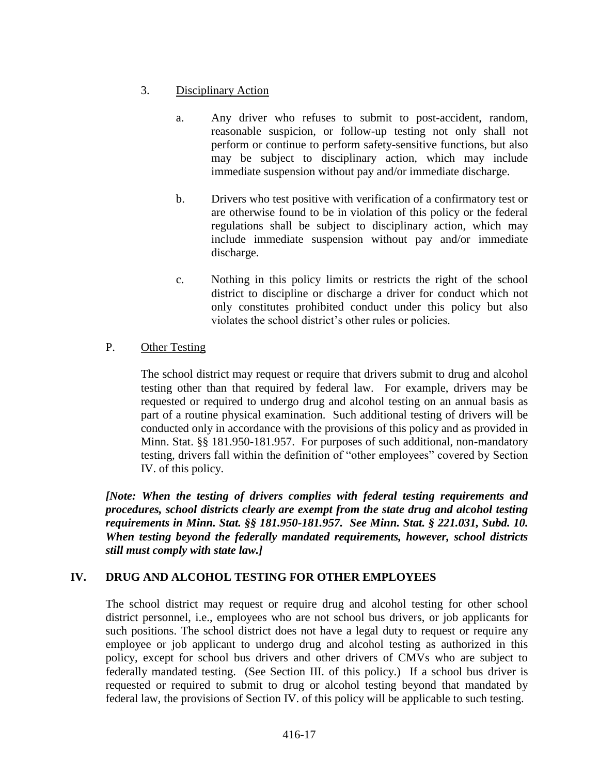## 3. Disciplinary Action

- a. Any driver who refuses to submit to post-accident, random, reasonable suspicion, or follow-up testing not only shall not perform or continue to perform safety-sensitive functions, but also may be subject to disciplinary action, which may include immediate suspension without pay and/or immediate discharge.
- b. Drivers who test positive with verification of a confirmatory test or are otherwise found to be in violation of this policy or the federal regulations shall be subject to disciplinary action, which may include immediate suspension without pay and/or immediate discharge.
- c. Nothing in this policy limits or restricts the right of the school district to discipline or discharge a driver for conduct which not only constitutes prohibited conduct under this policy but also violates the school district's other rules or policies.

## P. Other Testing

The school district may request or require that drivers submit to drug and alcohol testing other than that required by federal law. For example, drivers may be requested or required to undergo drug and alcohol testing on an annual basis as part of a routine physical examination. Such additional testing of drivers will be conducted only in accordance with the provisions of this policy and as provided in Minn. Stat. §§ 181.950-181.957. For purposes of such additional, non-mandatory testing, drivers fall within the definition of "other employees" covered by Section IV. of this policy.

*[Note: When the testing of drivers complies with federal testing requirements and procedures, school districts clearly are exempt from the state drug and alcohol testing requirements in Minn. Stat. §§ 181.950-181.957. See Minn. Stat. § 221.031, Subd. 10. When testing beyond the federally mandated requirements, however, school districts still must comply with state law.]*

## **IV. DRUG AND ALCOHOL TESTING FOR OTHER EMPLOYEES**

The school district may request or require drug and alcohol testing for other school district personnel, i.e., employees who are not school bus drivers, or job applicants for such positions. The school district does not have a legal duty to request or require any employee or job applicant to undergo drug and alcohol testing as authorized in this policy, except for school bus drivers and other drivers of CMVs who are subject to federally mandated testing. (See Section III. of this policy.) If a school bus driver is requested or required to submit to drug or alcohol testing beyond that mandated by federal law, the provisions of Section IV. of this policy will be applicable to such testing.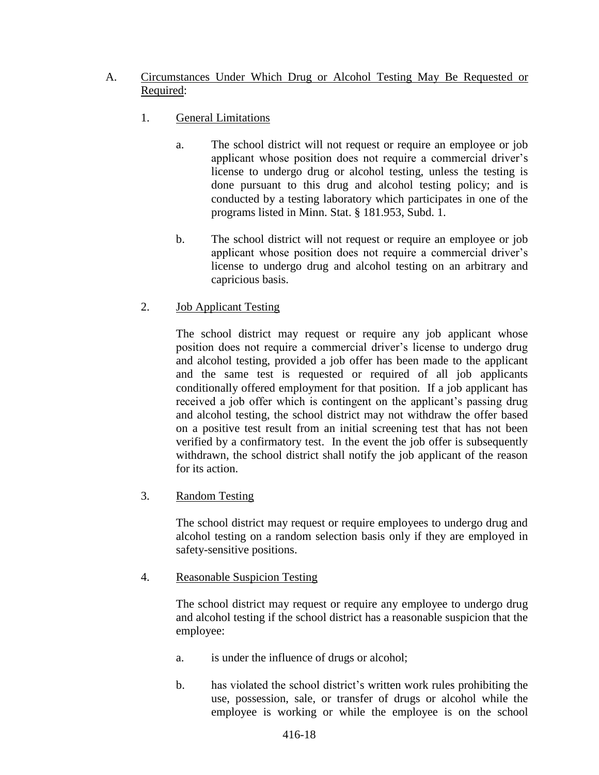- A. Circumstances Under Which Drug or Alcohol Testing May Be Requested or Required:
	- 1. General Limitations
		- a. The school district will not request or require an employee or job applicant whose position does not require a commercial driver's license to undergo drug or alcohol testing, unless the testing is done pursuant to this drug and alcohol testing policy; and is conducted by a testing laboratory which participates in one of the programs listed in Minn. Stat. § 181.953, Subd. 1.
		- b. The school district will not request or require an employee or job applicant whose position does not require a commercial driver's license to undergo drug and alcohol testing on an arbitrary and capricious basis.
	- 2. Job Applicant Testing

The school district may request or require any job applicant whose position does not require a commercial driver's license to undergo drug and alcohol testing, provided a job offer has been made to the applicant and the same test is requested or required of all job applicants conditionally offered employment for that position. If a job applicant has received a job offer which is contingent on the applicant's passing drug and alcohol testing, the school district may not withdraw the offer based on a positive test result from an initial screening test that has not been verified by a confirmatory test. In the event the job offer is subsequently withdrawn, the school district shall notify the job applicant of the reason for its action.

3. Random Testing

The school district may request or require employees to undergo drug and alcohol testing on a random selection basis only if they are employed in safety-sensitive positions.

4. Reasonable Suspicion Testing

The school district may request or require any employee to undergo drug and alcohol testing if the school district has a reasonable suspicion that the employee:

- a. is under the influence of drugs or alcohol;
- b. has violated the school district's written work rules prohibiting the use, possession, sale, or transfer of drugs or alcohol while the employee is working or while the employee is on the school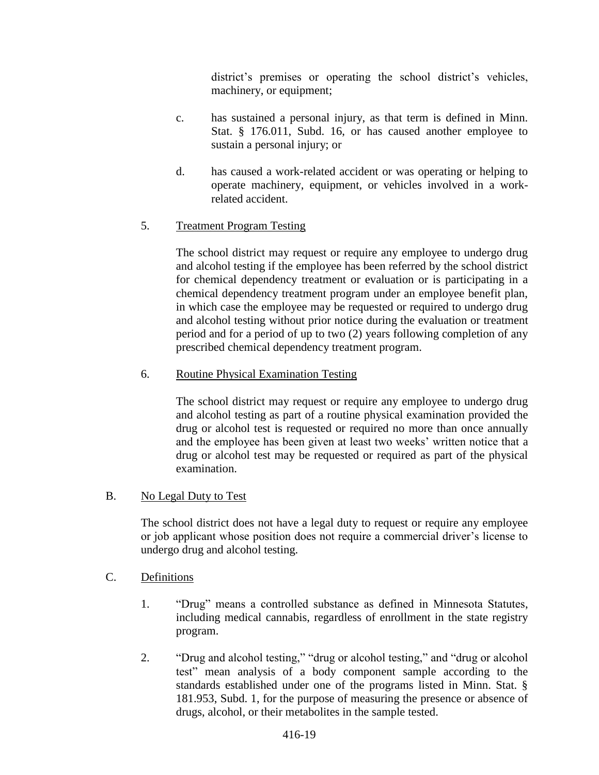district's premises or operating the school district's vehicles, machinery, or equipment;

- c. has sustained a personal injury, as that term is defined in Minn. Stat. § 176.011, Subd. 16, or has caused another employee to sustain a personal injury; or
- d. has caused a work-related accident or was operating or helping to operate machinery, equipment, or vehicles involved in a workrelated accident.

# 5. Treatment Program Testing

The school district may request or require any employee to undergo drug and alcohol testing if the employee has been referred by the school district for chemical dependency treatment or evaluation or is participating in a chemical dependency treatment program under an employee benefit plan, in which case the employee may be requested or required to undergo drug and alcohol testing without prior notice during the evaluation or treatment period and for a period of up to two (2) years following completion of any prescribed chemical dependency treatment program.

## 6. Routine Physical Examination Testing

The school district may request or require any employee to undergo drug and alcohol testing as part of a routine physical examination provided the drug or alcohol test is requested or required no more than once annually and the employee has been given at least two weeks' written notice that a drug or alcohol test may be requested or required as part of the physical examination.

## B. No Legal Duty to Test

The school district does not have a legal duty to request or require any employee or job applicant whose position does not require a commercial driver's license to undergo drug and alcohol testing.

## C. Definitions

- 1. "Drug" means a controlled substance as defined in Minnesota Statutes, including medical cannabis, regardless of enrollment in the state registry program.
- 2. "Drug and alcohol testing," "drug or alcohol testing," and "drug or alcohol test" mean analysis of a body component sample according to the standards established under one of the programs listed in Minn. Stat. § 181.953, Subd. 1, for the purpose of measuring the presence or absence of drugs, alcohol, or their metabolites in the sample tested.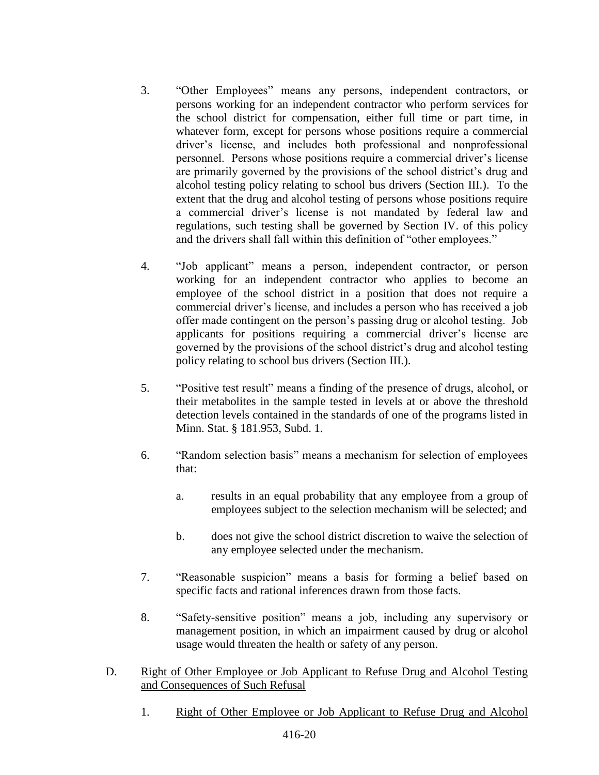- 3. "Other Employees" means any persons, independent contractors, or persons working for an independent contractor who perform services for the school district for compensation, either full time or part time, in whatever form, except for persons whose positions require a commercial driver's license, and includes both professional and nonprofessional personnel. Persons whose positions require a commercial driver's license are primarily governed by the provisions of the school district's drug and alcohol testing policy relating to school bus drivers (Section III.). To the extent that the drug and alcohol testing of persons whose positions require a commercial driver's license is not mandated by federal law and regulations, such testing shall be governed by Section IV. of this policy and the drivers shall fall within this definition of "other employees."
- 4. "Job applicant" means a person, independent contractor, or person working for an independent contractor who applies to become an employee of the school district in a position that does not require a commercial driver's license, and includes a person who has received a job offer made contingent on the person's passing drug or alcohol testing. Job applicants for positions requiring a commercial driver's license are governed by the provisions of the school district's drug and alcohol testing policy relating to school bus drivers (Section III.).
- 5. "Positive test result" means a finding of the presence of drugs, alcohol, or their metabolites in the sample tested in levels at or above the threshold detection levels contained in the standards of one of the programs listed in Minn. Stat. § 181.953, Subd. 1.
- 6. "Random selection basis" means a mechanism for selection of employees that:
	- a. results in an equal probability that any employee from a group of employees subject to the selection mechanism will be selected; and
	- b. does not give the school district discretion to waive the selection of any employee selected under the mechanism.
- 7. "Reasonable suspicion" means a basis for forming a belief based on specific facts and rational inferences drawn from those facts.
- 8. "Safety-sensitive position" means a job, including any supervisory or management position, in which an impairment caused by drug or alcohol usage would threaten the health or safety of any person.
- D. Right of Other Employee or Job Applicant to Refuse Drug and Alcohol Testing and Consequences of Such Refusal
	- 1. Right of Other Employee or Job Applicant to Refuse Drug and Alcohol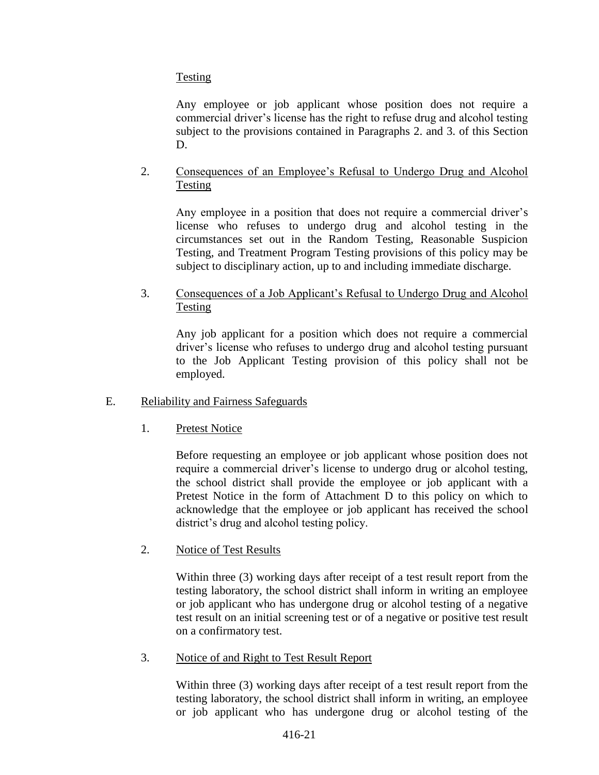#### Testing

Any employee or job applicant whose position does not require a commercial driver's license has the right to refuse drug and alcohol testing subject to the provisions contained in Paragraphs 2. and 3. of this Section D.

## 2. Consequences of an Employee's Refusal to Undergo Drug and Alcohol Testing

Any employee in a position that does not require a commercial driver's license who refuses to undergo drug and alcohol testing in the circumstances set out in the Random Testing, Reasonable Suspicion Testing, and Treatment Program Testing provisions of this policy may be subject to disciplinary action, up to and including immediate discharge.

#### 3. Consequences of a Job Applicant's Refusal to Undergo Drug and Alcohol Testing

Any job applicant for a position which does not require a commercial driver's license who refuses to undergo drug and alcohol testing pursuant to the Job Applicant Testing provision of this policy shall not be employed.

## E. Reliability and Fairness Safeguards

## 1. Pretest Notice

Before requesting an employee or job applicant whose position does not require a commercial driver's license to undergo drug or alcohol testing, the school district shall provide the employee or job applicant with a Pretest Notice in the form of Attachment D to this policy on which to acknowledge that the employee or job applicant has received the school district's drug and alcohol testing policy.

## 2. Notice of Test Results

Within three (3) working days after receipt of a test result report from the testing laboratory, the school district shall inform in writing an employee or job applicant who has undergone drug or alcohol testing of a negative test result on an initial screening test or of a negative or positive test result on a confirmatory test.

#### 3. Notice of and Right to Test Result Report

Within three (3) working days after receipt of a test result report from the testing laboratory, the school district shall inform in writing, an employee or job applicant who has undergone drug or alcohol testing of the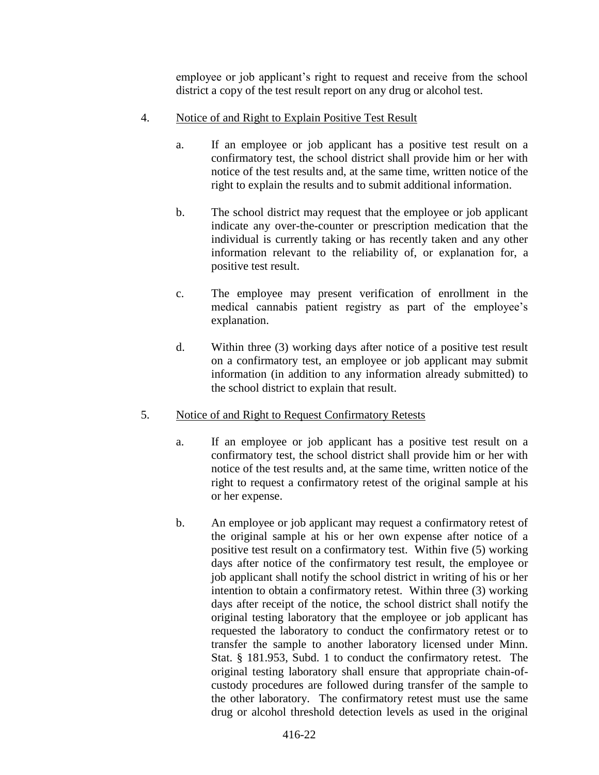employee or job applicant's right to request and receive from the school district a copy of the test result report on any drug or alcohol test.

- 4. Notice of and Right to Explain Positive Test Result
	- a. If an employee or job applicant has a positive test result on a confirmatory test, the school district shall provide him or her with notice of the test results and, at the same time, written notice of the right to explain the results and to submit additional information.
	- b. The school district may request that the employee or job applicant indicate any over-the-counter or prescription medication that the individual is currently taking or has recently taken and any other information relevant to the reliability of, or explanation for, a positive test result.
	- c. The employee may present verification of enrollment in the medical cannabis patient registry as part of the employee's explanation.
	- d. Within three (3) working days after notice of a positive test result on a confirmatory test, an employee or job applicant may submit information (in addition to any information already submitted) to the school district to explain that result.
- 5. Notice of and Right to Request Confirmatory Retests
	- a. If an employee or job applicant has a positive test result on a confirmatory test, the school district shall provide him or her with notice of the test results and, at the same time, written notice of the right to request a confirmatory retest of the original sample at his or her expense.
	- b. An employee or job applicant may request a confirmatory retest of the original sample at his or her own expense after notice of a positive test result on a confirmatory test. Within five (5) working days after notice of the confirmatory test result, the employee or job applicant shall notify the school district in writing of his or her intention to obtain a confirmatory retest. Within three (3) working days after receipt of the notice, the school district shall notify the original testing laboratory that the employee or job applicant has requested the laboratory to conduct the confirmatory retest or to transfer the sample to another laboratory licensed under Minn. Stat. § 181.953, Subd. 1 to conduct the confirmatory retest. The original testing laboratory shall ensure that appropriate chain-ofcustody procedures are followed during transfer of the sample to the other laboratory. The confirmatory retest must use the same drug or alcohol threshold detection levels as used in the original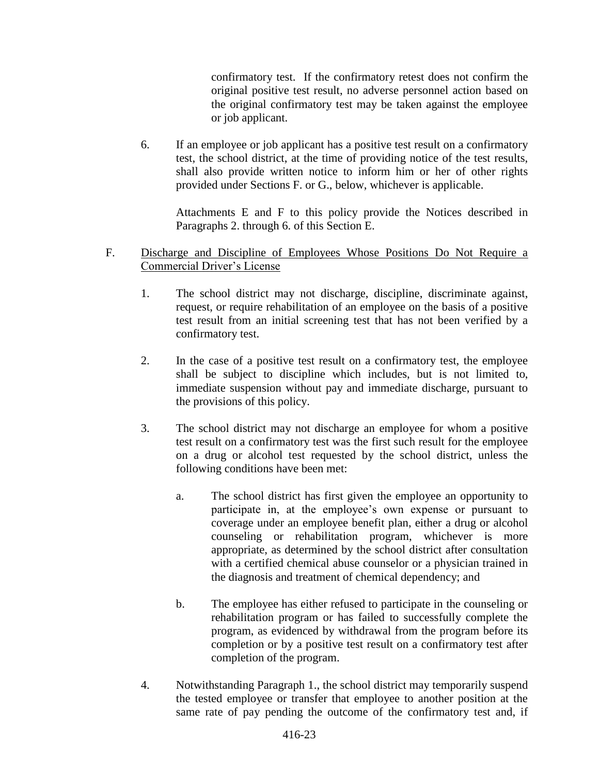confirmatory test. If the confirmatory retest does not confirm the original positive test result, no adverse personnel action based on the original confirmatory test may be taken against the employee or job applicant.

6. If an employee or job applicant has a positive test result on a confirmatory test, the school district, at the time of providing notice of the test results, shall also provide written notice to inform him or her of other rights provided under Sections F. or G., below, whichever is applicable.

Attachments E and F to this policy provide the Notices described in Paragraphs 2. through 6. of this Section E.

- F. Discharge and Discipline of Employees Whose Positions Do Not Require a Commercial Driver's License
	- 1. The school district may not discharge, discipline, discriminate against, request, or require rehabilitation of an employee on the basis of a positive test result from an initial screening test that has not been verified by a confirmatory test.
	- 2. In the case of a positive test result on a confirmatory test, the employee shall be subject to discipline which includes, but is not limited to, immediate suspension without pay and immediate discharge, pursuant to the provisions of this policy.
	- 3. The school district may not discharge an employee for whom a positive test result on a confirmatory test was the first such result for the employee on a drug or alcohol test requested by the school district, unless the following conditions have been met:
		- a. The school district has first given the employee an opportunity to participate in, at the employee's own expense or pursuant to coverage under an employee benefit plan, either a drug or alcohol counseling or rehabilitation program, whichever is more appropriate, as determined by the school district after consultation with a certified chemical abuse counselor or a physician trained in the diagnosis and treatment of chemical dependency; and
		- b. The employee has either refused to participate in the counseling or rehabilitation program or has failed to successfully complete the program, as evidenced by withdrawal from the program before its completion or by a positive test result on a confirmatory test after completion of the program.
	- 4. Notwithstanding Paragraph 1., the school district may temporarily suspend the tested employee or transfer that employee to another position at the same rate of pay pending the outcome of the confirmatory test and, if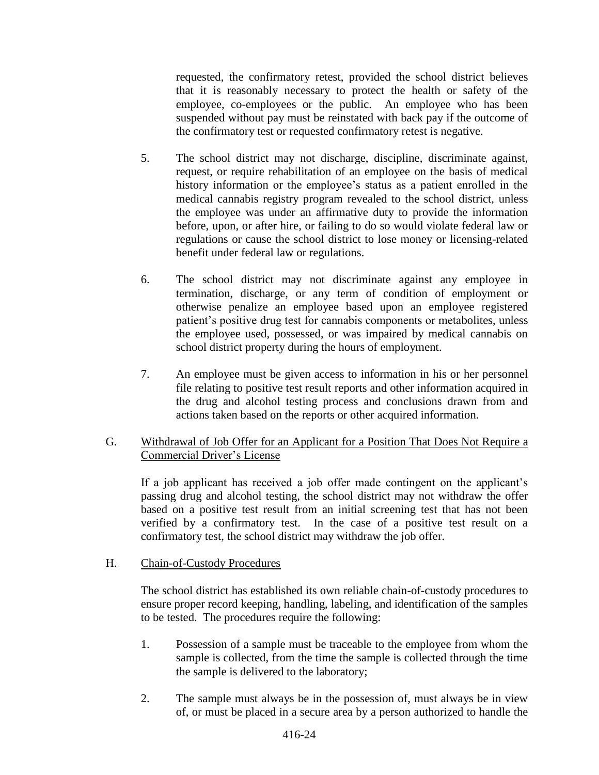requested, the confirmatory retest, provided the school district believes that it is reasonably necessary to protect the health or safety of the employee, co-employees or the public. An employee who has been suspended without pay must be reinstated with back pay if the outcome of the confirmatory test or requested confirmatory retest is negative.

- 5. The school district may not discharge, discipline, discriminate against, request, or require rehabilitation of an employee on the basis of medical history information or the employee's status as a patient enrolled in the medical cannabis registry program revealed to the school district, unless the employee was under an affirmative duty to provide the information before, upon, or after hire, or failing to do so would violate federal law or regulations or cause the school district to lose money or licensing-related benefit under federal law or regulations.
- 6. The school district may not discriminate against any employee in termination, discharge, or any term of condition of employment or otherwise penalize an employee based upon an employee registered patient's positive drug test for cannabis components or metabolites, unless the employee used, possessed, or was impaired by medical cannabis on school district property during the hours of employment.
- 7. An employee must be given access to information in his or her personnel file relating to positive test result reports and other information acquired in the drug and alcohol testing process and conclusions drawn from and actions taken based on the reports or other acquired information.

## G. Withdrawal of Job Offer for an Applicant for a Position That Does Not Require a Commercial Driver's License

If a job applicant has received a job offer made contingent on the applicant's passing drug and alcohol testing, the school district may not withdraw the offer based on a positive test result from an initial screening test that has not been verified by a confirmatory test. In the case of a positive test result on a confirmatory test, the school district may withdraw the job offer.

## H. Chain-of-Custody Procedures

The school district has established its own reliable chain-of-custody procedures to ensure proper record keeping, handling, labeling, and identification of the samples to be tested. The procedures require the following:

- 1. Possession of a sample must be traceable to the employee from whom the sample is collected, from the time the sample is collected through the time the sample is delivered to the laboratory;
- 2. The sample must always be in the possession of, must always be in view of, or must be placed in a secure area by a person authorized to handle the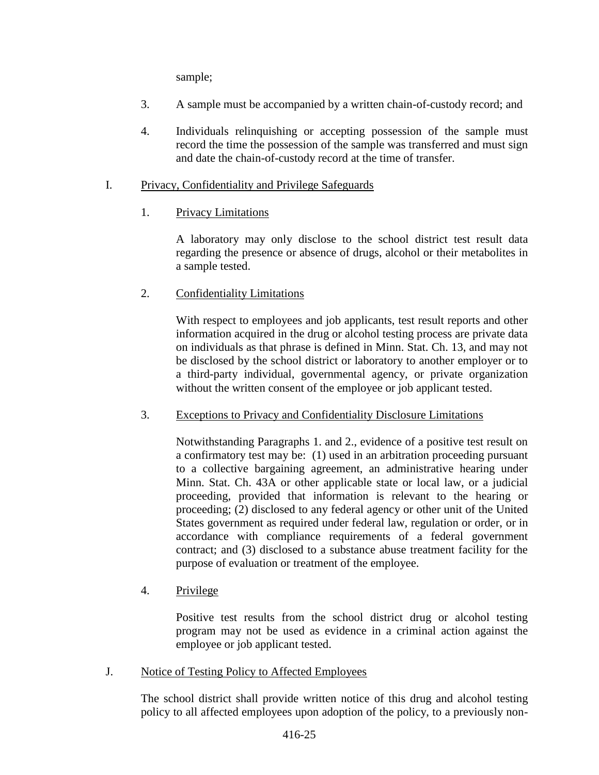sample;

- 3. A sample must be accompanied by a written chain-of-custody record; and
- 4. Individuals relinquishing or accepting possession of the sample must record the time the possession of the sample was transferred and must sign and date the chain-of-custody record at the time of transfer.

#### I. Privacy, Confidentiality and Privilege Safeguards

1. Privacy Limitations

A laboratory may only disclose to the school district test result data regarding the presence or absence of drugs, alcohol or their metabolites in a sample tested.

2. Confidentiality Limitations

With respect to employees and job applicants, test result reports and other information acquired in the drug or alcohol testing process are private data on individuals as that phrase is defined in Minn. Stat. Ch. 13, and may not be disclosed by the school district or laboratory to another employer or to a third-party individual, governmental agency, or private organization without the written consent of the employee or job applicant tested.

## 3. Exceptions to Privacy and Confidentiality Disclosure Limitations

Notwithstanding Paragraphs 1. and 2., evidence of a positive test result on a confirmatory test may be: (1) used in an arbitration proceeding pursuant to a collective bargaining agreement, an administrative hearing under Minn. Stat. Ch. 43A or other applicable state or local law, or a judicial proceeding, provided that information is relevant to the hearing or proceeding; (2) disclosed to any federal agency or other unit of the United States government as required under federal law, regulation or order, or in accordance with compliance requirements of a federal government contract; and (3) disclosed to a substance abuse treatment facility for the purpose of evaluation or treatment of the employee.

4. Privilege

Positive test results from the school district drug or alcohol testing program may not be used as evidence in a criminal action against the employee or job applicant tested.

J. Notice of Testing Policy to Affected Employees

The school district shall provide written notice of this drug and alcohol testing policy to all affected employees upon adoption of the policy, to a previously non